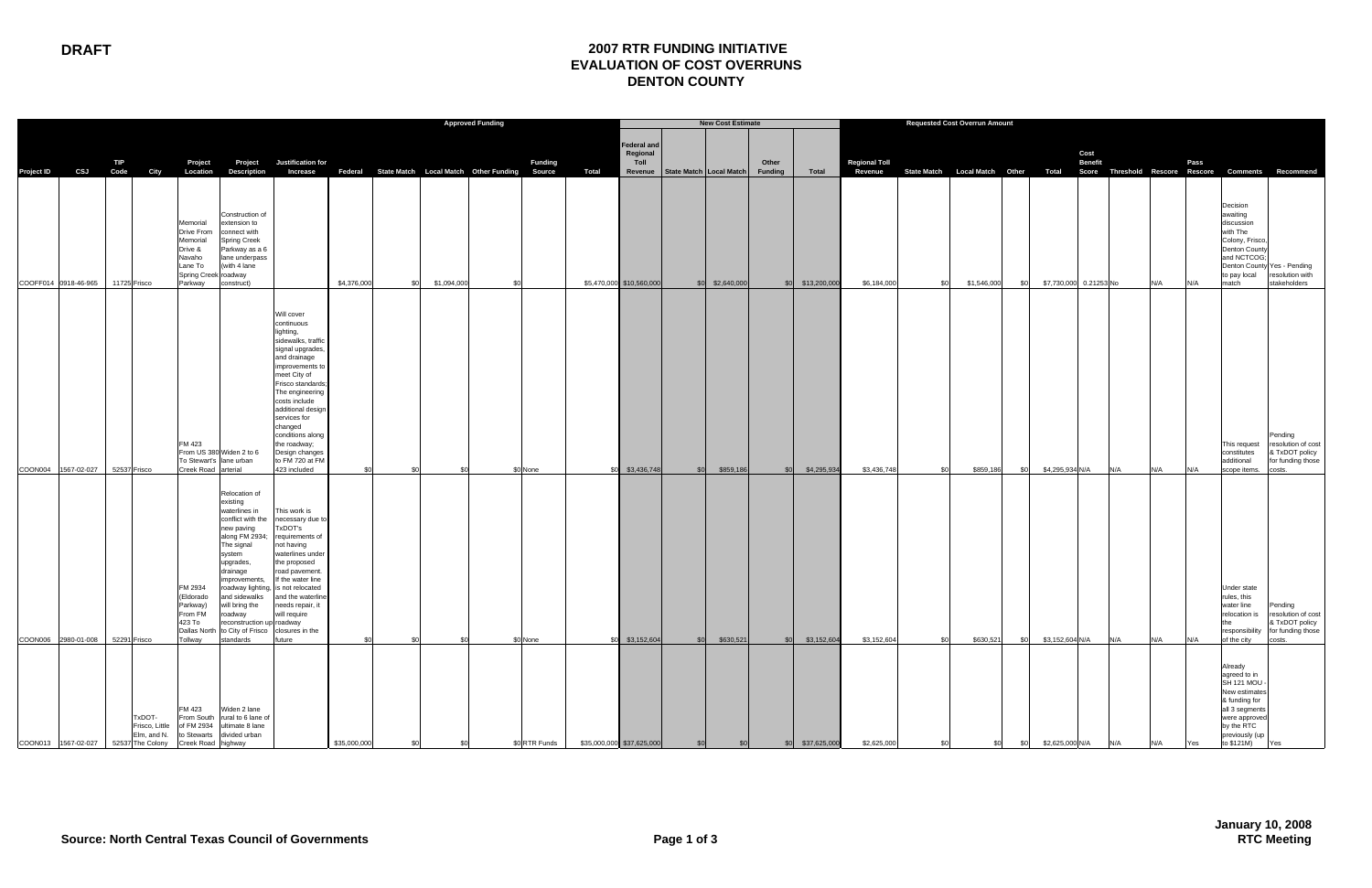|                   |                                      |             |                                         | <b>Approved Funding</b>                                                                               |                                                                                                                                                                                                                                                                                                             |                                                                                                                                                                                                                                                                                                                                     |                                                      |             |     |                |       |                                        | <b>New Cost Estimate</b>            |                   |                         |                  |                                 |     |                                     |     |                 |                        |     |      |                                                                                                                                                                  |                                                                                                             |
|-------------------|--------------------------------------|-------------|-----------------------------------------|-------------------------------------------------------------------------------------------------------|-------------------------------------------------------------------------------------------------------------------------------------------------------------------------------------------------------------------------------------------------------------------------------------------------------------|-------------------------------------------------------------------------------------------------------------------------------------------------------------------------------------------------------------------------------------------------------------------------------------------------------------------------------------|------------------------------------------------------|-------------|-----|----------------|-------|----------------------------------------|-------------------------------------|-------------------|-------------------------|------------------|---------------------------------|-----|-------------------------------------|-----|-----------------|------------------------|-----|------|------------------------------------------------------------------------------------------------------------------------------------------------------------------|-------------------------------------------------------------------------------------------------------------|
| <b>Project ID</b> | CSJ                                  | TIP<br>Code | City                                    | Project<br>Location                                                                                   | Project<br>Description                                                                                                                                                                                                                                                                                      | Justification for<br>Increase                                                                                                                                                                                                                                                                                                       | Federal State Match Local Match Other Funding Source |             |     | <b>Funding</b> | Total | <b>Federal and</b><br>Regional<br>Toll | Revenue   State Match   Local Match |                   | Other<br><b>Funding</b> | Total            | <b>Regional Toll</b><br>Revenue |     | State Match Local Match Other Total |     |                 | Cost<br><b>Benefit</b> |     | Pass | Score Threshold Rescore Rescore Comments Recommend                                                                                                               |                                                                                                             |
|                   | COOFF014 0918-46-965                 |             | 11725 Frisco                            | Memorial<br>Drive From<br>Memorial<br>Drive &<br>Navaho<br>Lane To<br>Spring Creek roadway<br>Parkway | Construction of<br>extension to<br>connect with<br><b>Spring Creek</b><br>Parkway as a 6<br>lane underpass<br>(with 4 lane<br>construct)                                                                                                                                                                    |                                                                                                                                                                                                                                                                                                                                     | \$4,376,000<br>\$0                                   | \$1,094,000 | \$0 |                |       | \$5,470,000 \$10,560,000               |                                     | $$0$ $$2,640,000$ |                         | \$0 \$13,200,000 | \$6,184,000                     | .ፍሰ | \$1,546,000                         | \$0 |                 | \$7,730,000 0.21253 No | N/A | N/A  | Decision<br>awaiting<br>discussion<br>with The<br>Colony, Frisco,<br><b>Denton County</b><br>and NCTCOG;<br>Denton County Yes - Pending<br>to pay local<br>match | resolution with<br>stakeholders                                                                             |
|                   | COON004 1567-02-027 52537 Frisco     |             |                                         | FM 423<br>To Stewart's lane urban<br>Creek Road arterial                                              | From US 380 Widen 2 to 6                                                                                                                                                                                                                                                                                    | Will cover<br>continuous<br>lighting,<br>sidewalks, traffic<br>signal upgrades,<br>and drainage<br>improvements to<br>meet City of<br>Frisco standards<br>The engineering<br>costs include<br>additional design<br>services for<br>changed<br>conditions along<br>the roadway;<br>Design changes<br>to FM 720 at FM<br>423 included | .ፍሰ<br>- \$0                                         | \$0         |     | \$0 None       |       | \$0 \$3,436,748                        |                                     | \$0 \$859,186     | SO <sub>1</sub>         | \$4,295,934      | \$3,436,748                     |     | \$859,186                           | \$0 | \$4,295,934 N/A | N/A                    | N/A | N/A  | This request<br>constitutes<br>additional<br>scope items.                                                                                                        | Pending<br>resolution of cost<br>& TxDOT policy<br>for funding those<br>costs.                              |
|                   | COON006 2980-01-008 52291 Frisco     |             |                                         | FM 2934<br>(Eldorado<br>Parkway)<br>From FM<br>423 To<br>Tollway                                      | Relocation of<br>existing<br>waterlines in<br>conflict with the<br>new paving<br>along FM 2934;<br>The signal<br>system<br>upgrades,<br>drainage<br>improvements,<br>and sidewalks<br>will bring the<br>roadway<br>reconstruction up roadway<br>Dallas North to City of Frisco closures in the<br>standards | This work is<br>necessary due to<br>TxDOT's<br>requirements of<br>not having<br>waterlines under<br>the proposed<br>road pavement.<br>If the water line<br>roadway lighting, is not relocated<br>and the waterline<br>needs repair, it<br>will require<br>future                                                                    | \$0<br>\$0                                           | \$0         |     | \$0 None       | \$0   | \$3,152,604                            | \$0                                 | \$630,521         | \$0                     | \$3,152,604      | \$3,152,604                     |     | \$630,521                           | \$0 | \$3,152,604 N/A | N/A                    | N/A | N/A  | Under state<br>rules, this<br>water line<br>the<br>of the city                                                                                                   | Pending<br>relocation is resolution of cost<br>& TxDOT policy<br>responsibility for funding those<br>costs. |
|                   | COON013 1567-02-027 52537 The Colony |             | TxDOT-<br>Frisco, Little<br>Elm, and N. | Creek Road highway                                                                                    | FM 423 Widen 2 lane<br>From South rural to 6 lane of<br>of FM 2934 ultimate 8 lane<br>to Stewarts divided urban                                                                                                                                                                                             |                                                                                                                                                                                                                                                                                                                                     | \$35,000,000                                         |             |     | \$0 RTR Funds  |       | \$35,000,000 \$37,625,000              |                                     |                   | \$0                     | \$37,625,000     | \$2,625,000                     |     |                                     |     | \$2,625,000 N/A | N/A                    |     | Yes  | Already<br>agreed to in<br>SH 121 MOU -<br>New estimates<br>& funding for<br>all 3 segments<br>were approved<br>by the RTC<br>previously (up<br>to \$121M)       | <b>Yes</b>                                                                                                  |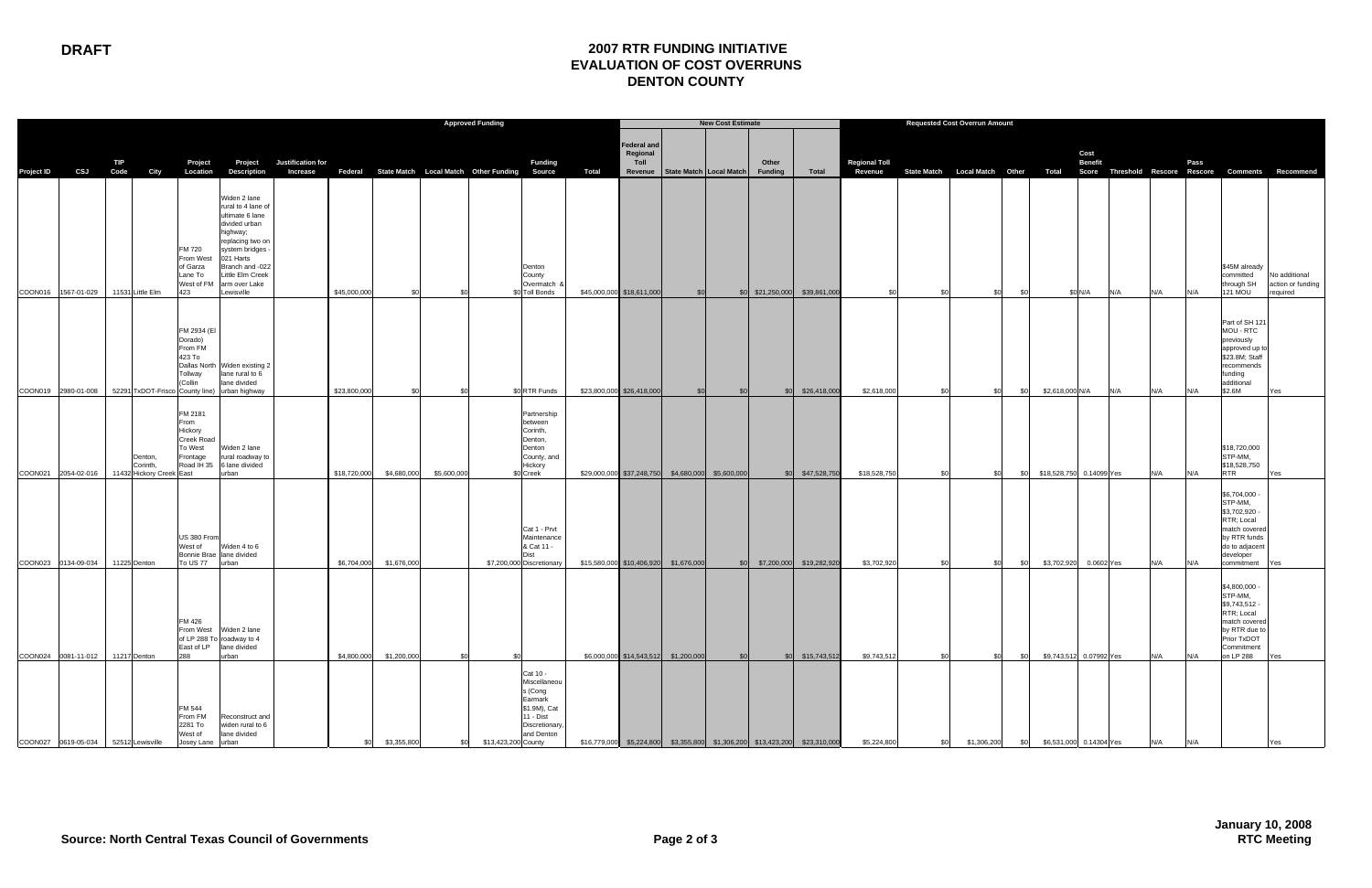## **DRAFT 2007 RTR FUNDING INITIATIVE EVALUATION OF COST OVERRUNS DENTON COUNTY**

|            |                     |                                                                   |                                                                               |                                                                                                                                                                                                            |                               |              | <b>Approved Funding</b>                              |             |                     |                                                                                                             |              |                                 |                                                   | <b>New Cost Estimate</b> |                         |                                                                            |                                 |  |                    | <b>Requested Cost Overrun Amount</b> |                        |                          |     |     |      |                                                                                                                                       |                                                                                        |
|------------|---------------------|-------------------------------------------------------------------|-------------------------------------------------------------------------------|------------------------------------------------------------------------------------------------------------------------------------------------------------------------------------------------------------|-------------------------------|--------------|------------------------------------------------------|-------------|---------------------|-------------------------------------------------------------------------------------------------------------|--------------|---------------------------------|---------------------------------------------------|--------------------------|-------------------------|----------------------------------------------------------------------------|---------------------------------|--|--------------------|--------------------------------------|------------------------|--------------------------|-----|-----|------|---------------------------------------------------------------------------------------------------------------------------------------|----------------------------------------------------------------------------------------|
| Project ID | CSJ Code            | TIP<br>City                                                       | Project<br>Location                                                           | Project<br>Description                                                                                                                                                                                     | Justification for<br>Increase |              | Federal State Match Local Match Other Funding Source |             |                     | <b>Funding</b>                                                                                              | <b>Total</b> | Federal and<br>Regional<br>Toll | Revenue   State Match   Local Match               |                          | Other<br><b>Funding</b> | Total                                                                      | <b>Regional Toll</b><br>Revenue |  |                    |                                      |                        | Cost<br><b>Benefit</b>   |     |     | Pass |                                                                                                                                       | State Match Local Match Other Total Score Threshold Rescore Rescore Comments Recommend |
|            |                     | COON016 1567-01-029 11531 Little Elm                              | FM 720<br>From West<br>of Garza<br>Lane To<br>West of FM<br>423               | Widen 2 lane<br>rural to 4 lane of<br>ultimate 6 lane<br>divided urban<br>highway;<br>replacing two on<br>system bridges<br>021 Harts<br>Branch and -022<br>Little Elm Creek<br>arm over Lake<br>ewisville |                               | \$45,000,000 | \$0                                                  | \$0         |                     | Denton<br>County<br>Overmatch &<br>\$0 Toll Bonds                                                           |              | \$45,000,000 \$18,611,000       | \$0                                               |                          |                         | \$0 \$21,250,000 \$39,861,000                                              | \$0                             |  | .SC                | \$0<br>- \$0                         |                        | \$0 N/A                  | N/A | N/A | N/A  | \$45M already<br>committed<br>through SH<br><b>121 MOU</b>                                                                            | No additional<br>action or funding<br>required                                         |
|            |                     | COON019 2980-01-008 52291 TxDOT-Frisco County line) urban highway | FM 2934 (EI<br>Dorado)<br>From FM<br>423 To<br>Tollway<br>(Collin             | Dallas North Widen existing 2<br>lane rural to 6<br>lane divided                                                                                                                                           |                               | \$23,800,000 | \$0                                                  |             |                     | \$0 RTR Funds                                                                                               |              | \$23,800,000 \$26,418,000       | \$0                                               | \$0                      | \$0                     | \$26,418,000                                                               | \$2,618,000                     |  | \$0                | \$0                                  | \$2,618,000 N/A<br>\$0 |                          | N/A | N/A | N/A  | Part of SH 121<br>MOU - RTC<br>previously<br>approved up to<br>\$23.8M; Staff<br>recommends<br>funding<br>additional<br>\$2.6M        | Yes                                                                                    |
|            | COON021 2054-02-016 | Denton,<br>Corinth,<br>11432 Hickory Creek East                   | FM 2181<br>From<br>Hickory<br>Creek Road<br>To West<br>Frontage<br>Road IH 35 | Widen 2 lane<br>rural roadway to<br>6 lane divided<br>urban                                                                                                                                                |                               | \$18,720,000 | \$4,680,000                                          | \$5,600,000 |                     | Partnership<br>between<br>Corinth,<br>Denton,<br>Denton<br>County, and<br>Hickory<br>\$0 Creek              |              |                                 | \$29,000,000 \$37,248,750 \$4,680,000 \$5,600,000 |                          |                         | \$0 \$47,528,750                                                           | \$18,528,750                    |  | \$0                | \$0                                  | \$0                    | \$18,528,750 0.14099 Yes |     | N/A | N/A  | \$18,720,000<br>STP-MM,<br>\$18,528,750<br><b>RTR</b>                                                                                 | Yes                                                                                    |
|            | COON023 0134-09-034 | 11225 Denton                                                      | US 380 From<br>West of<br>To US 77 urban                                      | Widen 4 to 6<br>Bonnie Brae lane divided                                                                                                                                                                   |                               | \$6,704,000  | \$1,676,000                                          |             |                     | Cat 1 - Prvt<br>Maintenance<br>& Cat 11 -<br>\$7,200,000 Discretionary                                      |              |                                 | \$15,580,000 \$10,406,920 \$1,676,000             | \$0                      |                         | \$7,200,000 \$19,282,920                                                   | \$3,702,920                     |  | \$0                | \$0                                  | \$3,702,920<br>\$0     | 0.0602 Yes               |     | N/A | N/A  | \$6,704,000 -<br>STP-MM,<br>\$3,702,920 -<br>RTR; Local<br>match covered<br>by RTR funds<br>do to adjacent<br>developer<br>commitment | Yes                                                                                    |
|            |                     | COON024 0081-11-012 11217 Denton                                  | FM 426<br>East of LP<br>288                                                   | From West Widen 2 lane<br>of LP 288 To roadway to 4<br>lane divided<br>urban                                                                                                                               |                               |              | \$4,800,000 \$1,200,000                              | \$0         | \$0                 |                                                                                                             |              |                                 | \$6,000,000 \$14,543,512 \$1,200,000              | \$0                      |                         | \$0 \$15,743,512                                                           | \$9,743,512                     |  | SOI.               | \$0                                  | \$0                    | \$9,743,512 0.07992 Yes  |     | N/A | N/A  | \$4,800,000 -<br>STP-MM.<br>\$9,743,512 -<br>RTR; Local<br>match covered<br>by RTR due to<br>Prior TxDOT<br>Commitment<br>on LP 288   | Yes                                                                                    |
|            |                     | COON027 0619-05-034 52512 Lewisville                              | FM 544<br>From FM<br>2281 To<br>West of<br>Josey Lane urban                   | Reconstruct and<br>widen rural to 6<br>lane divided                                                                                                                                                        |                               | \$0          | \$3,355,800                                          |             | \$13,423,200 County | Cat 10 -<br>Miscellaneou<br>s (Cong<br>Earmark<br>\$1.9M), Cat<br>11 - Dist<br>Discretionary,<br>and Denton |              |                                 |                                                   |                          |                         | \$16,779,000 \$5,224,800 \$3,355,800 \$1,306,200 \$13,423,200 \$23,310,000 | \$5,224,800                     |  | \$1,306,200<br>\$0 |                                      | \$0                    | \$6,531,000 0.14304 Yes  |     | N/A |      |                                                                                                                                       |                                                                                        |

**January 10, 2008 RTC Meeting**